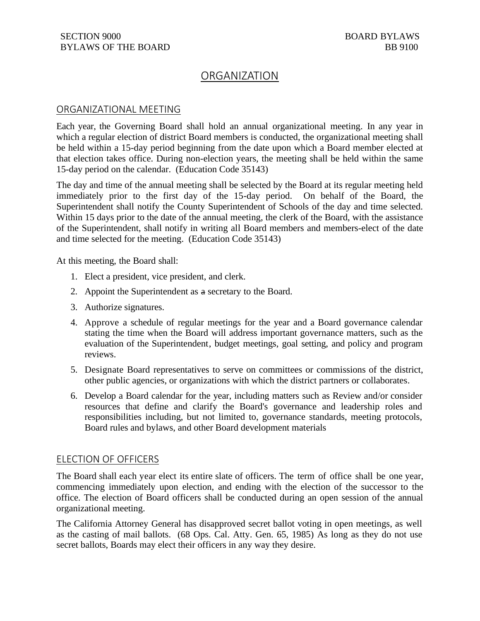## ORGANIZATION

## ORGANIZATIONAL MEETING

Each year, the Governing Board shall hold an annual organizational meeting. In any year in which a regular election of district Board members is conducted, the organizational meeting shall be held within a 15-day period beginning from the date upon which a Board member elected at that election takes office. During non-election years, the meeting shall be held within the same 15-day period on the calendar. (Education Code 35143)

The day and time of the annual meeting shall be selected by the Board at its regular meeting held immediately prior to the first day of the 15-day period. On behalf of the Board, the Superintendent shall notify the County Superintendent of Schools of the day and time selected. Within 15 days prior to the date of the annual meeting, the clerk of the Board, with the assistance of the Superintendent, shall notify in writing all Board members and members-elect of the date and time selected for the meeting. (Education Code 35143)

At this meeting, the Board shall:

- 1. Elect a president, vice president, and clerk.
- 2. Appoint the Superintendent as a secretary to the Board.
- 3. Authorize signatures.
- 4. Approve a schedule of regular meetings for the year and a Board governance calendar stating the time when the Board will address important governance matters, such as the evaluation of the Superintendent, budget meetings, goal setting, and policy and program reviews.
- 5. Designate Board representatives to serve on committees or commissions of the district, other public agencies, or organizations with which the district partners or collaborates.
- 6. Develop a Board calendar for the year, including matters such as Review and/or consider resources that define and clarify the Board's governance and leadership roles and responsibilities including, but not limited to, governance standards, meeting protocols, Board rules and bylaws, and other Board development materials

## ELECTION OF OFFICERS

The Board shall each year elect its entire slate of officers. The term of office shall be one year, commencing immediately upon election, and ending with the election of the successor to the office. The election of Board officers shall be conducted during an open session of the annual organizational meeting.

The California Attorney General has disapproved secret ballot voting in open meetings, as well as the casting of mail ballots. (68 Ops. Cal. Atty. Gen. 65, 1985) As long as they do not use secret ballots, Boards may elect their officers in any way they desire.